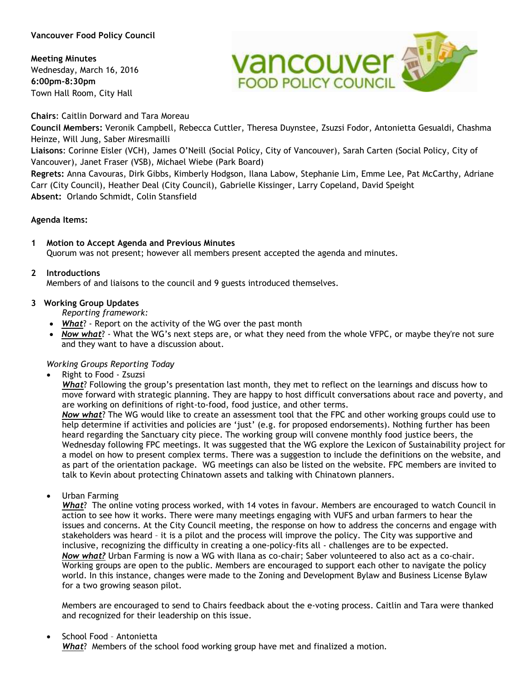## **Vancouver Food Policy Council**

**Meeting Minutes**  Wednesday, March 16, 2016 **6:00pm-8:30pm** Town Hall Room, City Hall

**Chairs**: Caitlin Dorward and Tara Moreau

**Council Members:** Veronik Campbell, Rebecca Cuttler, Theresa Duynstee, Zsuzsi Fodor, Antonietta Gesualdi, Chashma Heinze, Will Jung, Saber Miresmailli

**Liaisons**: Corinne Eisler (VCH), James O'Neill (Social Policy, City of Vancouver), Sarah Carten (Social Policy, City of Vancouver), Janet Fraser (VSB), Michael Wiebe (Park Board)

**Regrets:** Anna Cavouras, Dirk Gibbs, Kimberly Hodgson, Ilana Labow, Stephanie Lim, Emme Lee, Pat McCarthy, Adriane Carr (City Council), Heather Deal (City Council), Gabrielle Kissinger, Larry Copeland, David Speight **Absent:** Orlando Schmidt, Colin Stansfield

### **Agenda Items:**

**1 Motion to Accept Agenda and Previous Minutes**  Quorum was not present; however all members present accepted the agenda and minutes.

#### **2 Introductions**

Members of and liaisons to the council and 9 guests introduced themselves.

### **3 Working Group Updates**

*Reporting framework:* 

- *What*? Report on the activity of the WG over the past month
- *Now what*? What the WG's next steps are, or what they need from the whole VFPC, or maybe they're not sure and they want to have a discussion about.

### *Working Groups Reporting Today*

Right to Food - Zsuzsi

*What*? Following the group's presentation last month, they met to reflect on the learnings and discuss how to move forward with strategic planning. They are happy to host difficult conversations about race and poverty, and are working on definitions of right-to-food, food justice, and other terms.

*Now what*? The WG would like to create an assessment tool that the FPC and other working groups could use to help determine if activities and policies are 'just' (e.g. for proposed endorsements). Nothing further has been heard regarding the Sanctuary city piece. The working group will convene monthly food justice beers, the Wednesday following FPC meetings. It was suggested that the WG explore the Lexicon of Sustainability project for a model on how to present complex terms. There was a suggestion to include the definitions on the website, and as part of the orientation package. WG meetings can also be listed on the website. FPC members are invited to talk to Kevin about protecting Chinatown assets and talking with Chinatown planners.

Urban Farming

*What*? The online voting process worked, with 14 votes in favour. Members are encouraged to watch Council in action to see how it works. There were many meetings engaging with VUFS and urban farmers to hear the issues and concerns. At the City Council meeting, the response on how to address the concerns and engage with stakeholders was heard – it is a pilot and the process will improve the policy. The City was supportive and inclusive, recognizing the difficulty in creating a one-policy-fits all - challenges are to be expected. *Now what?* Urban Farming is now a WG with Ilana as co-chair; Saber volunteered to also act as a co-chair. Working groups are open to the public. Members are encouraged to support each other to navigate the policy world. In this instance, changes were made to the Zoning and Development Bylaw and Business License Bylaw for a two growing season pilot.

Members are encouraged to send to Chairs feedback about the e-voting process. Caitlin and Tara were thanked and recognized for their leadership on this issue.

School Food – Antonietta

*What*? Members of the school food working group have met and finalized a motion.

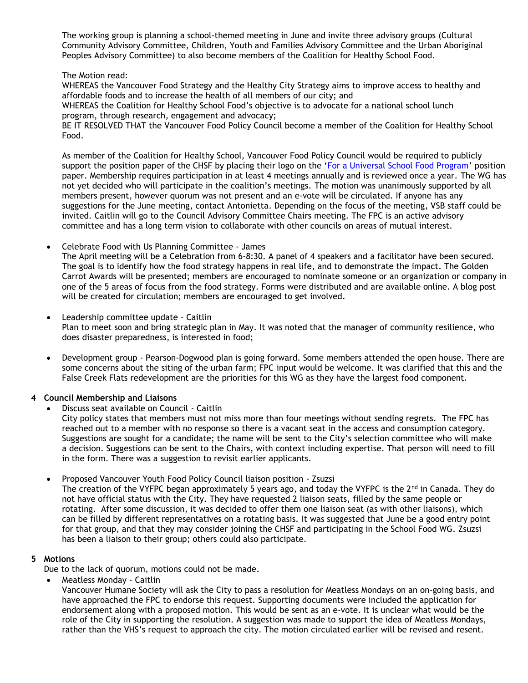The working group is planning a school-themed meeting in June and invite three advisory groups (Cultural Community Advisory Committee, Children, Youth and Families Advisory Committee and the Urban Aboriginal Peoples Advisory Committee) to also become members of the Coalition for Healthy School Food.

The Motion read:

WHEREAS the Vancouver Food Strategy and the Healthy City Strategy aims to improve access to healthy and affordable foods and to increase the health of all members of our city; and

WHEREAS the Coalition for Healthy School Food's objective is to advocate for a national school lunch program, through research, engagement and advocacy;

BE IT RESOLVED THAT the Vancouver Food Policy Council become a member of the Coalition for Healthy School Food.

As member of the Coalition for Healthy School, Vancouver Food Policy Council would be required to publicly support the position paper of the CHSF by placing their logo on the '[For a Universal School Food Program](http://foodsecurecanada.org/sites/default/files/coalitionforhealthyschoolfood.sm_.pdf)' position paper. Membership requires participation in at least 4 meetings annually and is reviewed once a year. The WG has not yet decided who will participate in the coalition's meetings. The motion was unanimously supported by all members present, however quorum was not present and an e-vote will be circulated. If anyone has any suggestions for the June meeting, contact Antonietta. Depending on the focus of the meeting, VSB staff could be invited. Caitlin will go to the Council Advisory Committee Chairs meeting. The FPC is an active advisory committee and has a long term vision to collaborate with other councils on areas of mutual interest.

Celebrate Food with Us Planning Committee - James

The April meeting will be a Celebration from 6-8:30. A panel of 4 speakers and a facilitator have been secured. The goal is to identify how the food strategy happens in real life, and to demonstrate the impact. The Golden Carrot Awards will be presented; members are encouraged to nominate someone or an organization or company in one of the 5 areas of focus from the food strategy. Forms were distributed and are available online. A blog post will be created for circulation; members are encouraged to get involved.

- Leadership committee update Caitlin Plan to meet soon and bring strategic plan in May. It was noted that the manager of community resilience, who does disaster preparedness, is interested in food;
- Development group Pearson-Dogwood plan is going forward. Some members attended the open house. There are some concerns about the siting of the urban farm; FPC input would be welcome. It was clarified that this and the False Creek Flats redevelopment are the priorities for this WG as they have the largest food component.

## **4 Council Membership and Liaisons**

Discuss seat available on Council - Caitlin

City policy states that members must not miss more than four meetings without sending regrets. The FPC has reached out to a member with no response so there is a vacant seat in the access and consumption category. Suggestions are sought for a candidate; the name will be sent to the City's selection committee who will make a decision. Suggestions can be sent to the Chairs, with context including expertise. That person will need to fill in the form. There was a suggestion to revisit earlier applicants.

 Proposed Vancouver Youth Food Policy Council liaison position - Zsuzsi The creation of the VYFPC began approximately 5 years ago, and today the VYFPC is the  $2^{nd}$  in Canada. They do not have official status with the City. They have requested 2 liaison seats, filled by the same people or rotating. After some discussion, it was decided to offer them one liaison seat (as with other liaisons), which can be filled by different representatives on a rotating basis. It was suggested that June be a good entry point for that group, and that they may consider joining the CHSF and participating in the School Food WG. Zsuzsi has been a liaison to their group; others could also participate.

## **5 Motions**

Due to the lack of quorum, motions could not be made.

Meatless Monday - Caitlin

Vancouver Humane Society will ask the City to pass a resolution for Meatless Mondays on an on-going basis, and have approached the FPC to endorse this request. Supporting documents were included the application for endorsement along with a proposed motion. This would be sent as an e-vote. It is unclear what would be the role of the City in supporting the resolution. A suggestion was made to support the idea of Meatless Mondays, rather than the VHS's request to approach the city. The motion circulated earlier will be revised and resent.